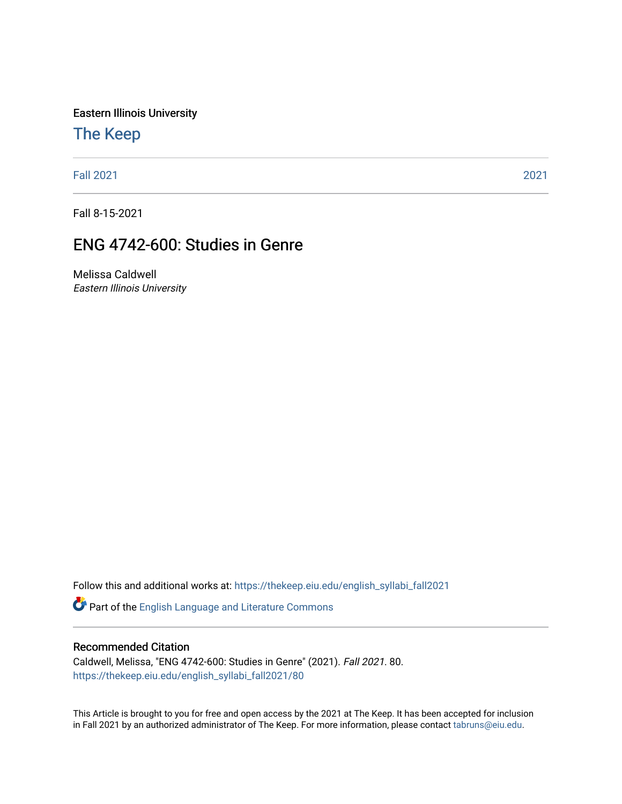Eastern Illinois University

# [The Keep](https://thekeep.eiu.edu/)

[Fall 2021](https://thekeep.eiu.edu/english_syllabi_fall2021) [2021](https://thekeep.eiu.edu/english_syllabi2021) 

Fall 8-15-2021

# ENG 4742-600: Studies in Genre

Melissa Caldwell Eastern Illinois University

Follow this and additional works at: [https://thekeep.eiu.edu/english\\_syllabi\\_fall2021](https://thekeep.eiu.edu/english_syllabi_fall2021?utm_source=thekeep.eiu.edu%2Fenglish_syllabi_fall2021%2F80&utm_medium=PDF&utm_campaign=PDFCoverPages) 

Part of the [English Language and Literature Commons](http://network.bepress.com/hgg/discipline/455?utm_source=thekeep.eiu.edu%2Fenglish_syllabi_fall2021%2F80&utm_medium=PDF&utm_campaign=PDFCoverPages)

#### Recommended Citation

Caldwell, Melissa, "ENG 4742-600: Studies in Genre" (2021). Fall 2021. 80. [https://thekeep.eiu.edu/english\\_syllabi\\_fall2021/80](https://thekeep.eiu.edu/english_syllabi_fall2021/80?utm_source=thekeep.eiu.edu%2Fenglish_syllabi_fall2021%2F80&utm_medium=PDF&utm_campaign=PDFCoverPages)

This Article is brought to you for free and open access by the 2021 at The Keep. It has been accepted for inclusion in Fall 2021 by an authorized administrator of The Keep. For more information, please contact [tabruns@eiu.edu](mailto:tabruns@eiu.edu).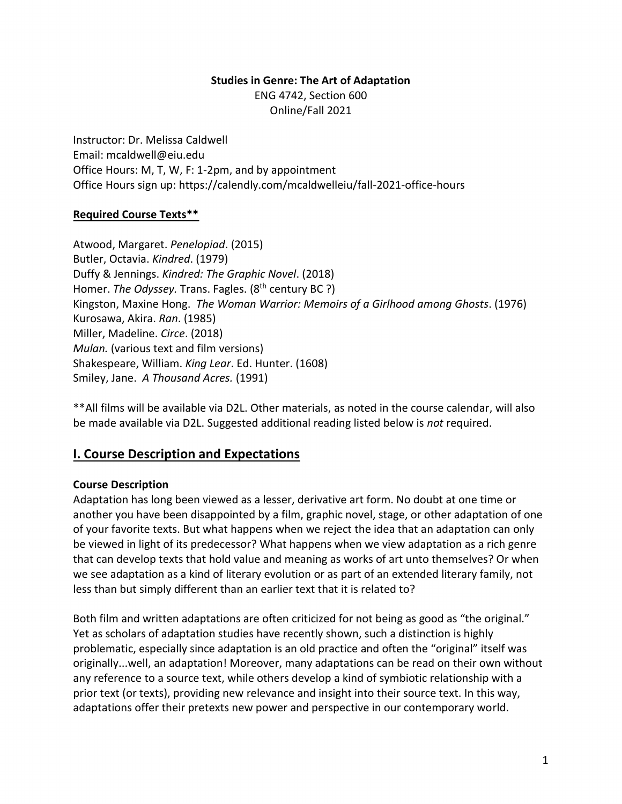#### **Studies in Genre: The Art of Adaptation**

ENG 4742, Section 600 Online/Fall 2021

Instructor: Dr. Melissa Caldwell Email: mcaldwell@eiu.edu Office Hours: M, T, W, F: 1-2pm, and by appointment Office Hours sign up: https://calendly.com/mcaldwelleiu/fall-2021-office-hours

### **Required Course Texts\*\***

Atwood, Margaret. *Penelopiad*. (2015) Butler, Octavia. *Kindred*. (1979) Duffy & Jennings. *Kindred: The Graphic Novel*. (2018) Homer. *The Odyssey*. Trans. Fagles. (8<sup>th</sup> century BC ?) Kingston, Maxine Hong. *The Woman Warrior: Memoirs of a Girlhood among Ghosts*. (1976) Kurosawa, Akira. *Ran*. (1985) Miller, Madeline. *Circe*. (2018) *Mulan.* (various text and film versions) Shakespeare, William. *King Lear*. Ed. Hunter. (1608) Smiley, Jane. *A Thousand Acres.* (1991)

\*\*All films will be available via D2L. Other materials, as noted in the course calendar, will also be made available via D2L. Suggested additional reading listed below is *not* required.

# **I. Course Description and Expectations**

#### **Course Description**

Adaptation has long been viewed as a lesser, derivative art form. No doubt at one time or another you have been disappointed by a film, graphic novel, stage, or other adaptation of one of your favorite texts. But what happens when we reject the idea that an adaptation can only be viewed in light of its predecessor? What happens when we view adaptation as a rich genre that can develop texts that hold value and meaning as works of art unto themselves? Or when we see adaptation as a kind of literary evolution or as part of an extended literary family, not less than but simply different than an earlier text that it is related to?

Both film and written adaptations are often criticized for not being as good as "the original." Yet as scholars of adaptation studies have recently shown, such a distinction is highly problematic, especially since adaptation is an old practice and often the "original" itself was originally...well, an adaptation! Moreover, many adaptations can be read on their own without any reference to a source text, while others develop a kind of symbiotic relationship with a prior text (or texts), providing new relevance and insight into their source text. In this way, adaptations offer their pretexts new power and perspective in our contemporary world.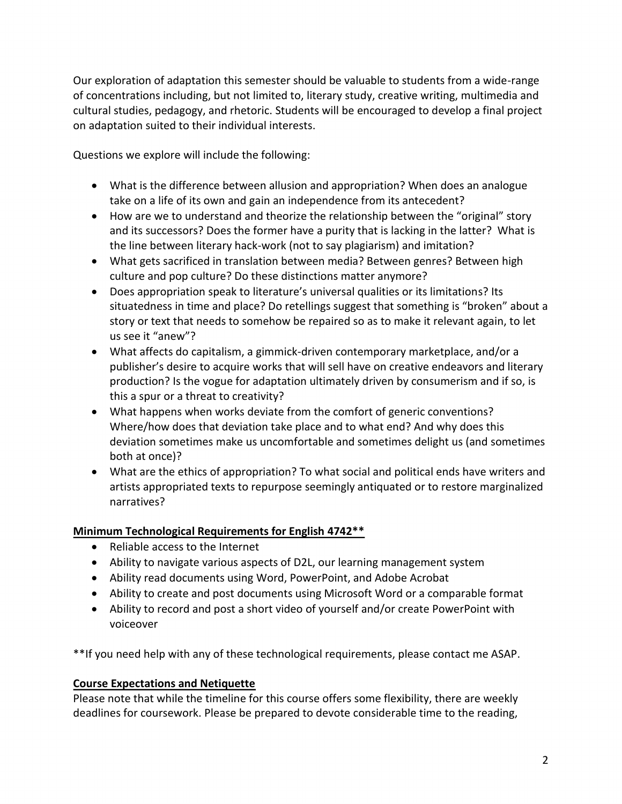Our exploration of adaptation this semester should be valuable to students from a wide-range of concentrations including, but not limited to, literary study, creative writing, multimedia and cultural studies, pedagogy, and rhetoric. Students will be encouraged to develop a final project on adaptation suited to their individual interests.

Questions we explore will include the following:

- What is the difference between allusion and appropriation? When does an analogue take on a life of its own and gain an independence from its antecedent?
- How are we to understand and theorize the relationship between the "original" story and its successors? Does the former have a purity that is lacking in the latter? What is the line between literary hack-work (not to say plagiarism) and imitation?
- What gets sacrificed in translation between media? Between genres? Between high culture and pop culture? Do these distinctions matter anymore?
- Does appropriation speak to literature's universal qualities or its limitations? Its situatedness in time and place? Do retellings suggest that something is "broken" about a story or text that needs to somehow be repaired so as to make it relevant again, to let us see it "anew"?
- What affects do capitalism, a gimmick-driven contemporary marketplace, and/or a publisher's desire to acquire works that will sell have on creative endeavors and literary production? Is the vogue for adaptation ultimately driven by consumerism and if so, is this a spur or a threat to creativity?
- What happens when works deviate from the comfort of generic conventions? Where/how does that deviation take place and to what end? And why does this deviation sometimes make us uncomfortable and sometimes delight us (and sometimes both at once)?
- What are the ethics of appropriation? To what social and political ends have writers and artists appropriated texts to repurpose seemingly antiquated or to restore marginalized narratives?

### **Minimum Technological Requirements for English 4742\*\***

- Reliable access to the Internet
- Ability to navigate various aspects of D2L, our learning management system
- Ability read documents using Word, PowerPoint, and Adobe Acrobat
- Ability to create and post documents using Microsoft Word or a comparable format
- Ability to record and post a short video of yourself and/or create PowerPoint with voiceover

\*\*If you need help with any of these technological requirements, please contact me ASAP.

### **Course Expectations and Netiquette**

Please note that while the timeline for this course offers some flexibility, there are weekly deadlines for coursework. Please be prepared to devote considerable time to the reading,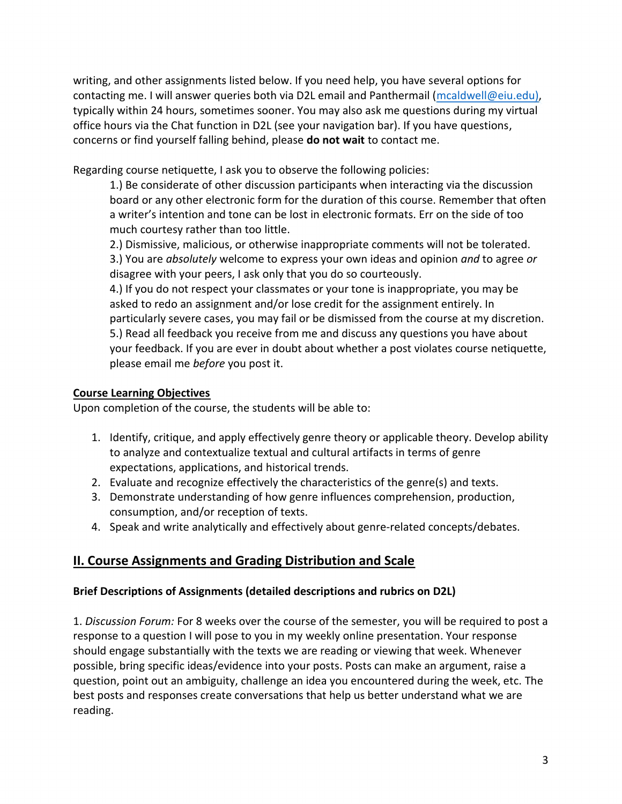writing, and other assignments listed below. If you need help, you have several options for contacting me. I will answer queries both via D2L email and Panthermail [\(mcaldwell@eiu.edu\),](mailto:mcaldwell@eiu.edu)) typically within 24 hours, sometimes sooner. You may also ask me questions during my virtual office hours via the Chat function in D2L (see your navigation bar). If you have questions, concerns or find yourself falling behind, please **do not wait** to contact me.

Regarding course netiquette, I ask you to observe the following policies:

1.) Be considerate of other discussion participants when interacting via the discussion board or any other electronic form for the duration of this course. Remember that often a writer's intention and tone can be lost in electronic formats. Err on the side of too much courtesy rather than too little.

2.) Dismissive, malicious, or otherwise inappropriate comments will not be tolerated.

3.) You are *absolutely* welcome to express your own ideas and opinion *and* to agree *or* disagree with your peers, I ask only that you do so courteously.

4.) If you do not respect your classmates or your tone is inappropriate, you may be asked to redo an assignment and/or lose credit for the assignment entirely. In particularly severe cases, you may fail or be dismissed from the course at my discretion. 5.) Read all feedback you receive from me and discuss any questions you have about your feedback. If you are ever in doubt about whether a post violates course netiquette, please email me *before* you post it.

### **Course Learning Objectives**

Upon completion of the course, the students will be able to:

- 1. Identify, critique, and apply effectively genre theory or applicable theory. Develop ability to analyze and contextualize textual and cultural artifacts in terms of genre expectations, applications, and historical trends.
- 2. Evaluate and recognize effectively the characteristics of the genre(s) and texts.
- 3. Demonstrate understanding of how genre influences comprehension, production, consumption, and/or reception of texts.
- 4. Speak and write analytically and effectively about genre-related concepts/debates.

# **II. Course Assignments and Grading Distribution and Scale**

## **Brief Descriptions of Assignments (detailed descriptions and rubrics on D2L)**

1. *Discussion Forum:* For 8 weeks over the course of the semester, you will be required to post a response to a question I will pose to you in my weekly online presentation. Your response should engage substantially with the texts we are reading or viewing that week. Whenever possible, bring specific ideas/evidence into your posts. Posts can make an argument, raise a question, point out an ambiguity, challenge an idea you encountered during the week, etc. The best posts and responses create conversations that help us better understand what we are reading.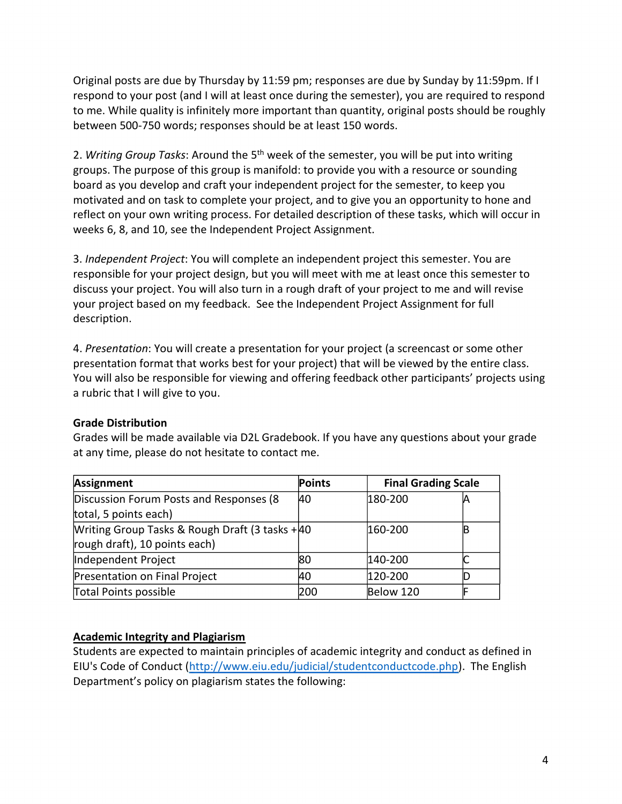Original posts are due by Thursday by 11:59 pm; responses are due by Sunday by 11:59pm. If I respond to your post (and I will at least once during the semester), you are required to respond to me. While quality is infinitely more important than quantity, original posts should be roughly between 500-750 words; responses should be at least 150 words.

2. *Writing Group Tasks*: Around the 5th week of the semester, you will be put into writing groups. The purpose of this group is manifold: to provide you with a resource or sounding board as you develop and craft your independent project for the semester, to keep you motivated and on task to complete your project, and to give you an opportunity to hone and reflect on your own writing process. For detailed description of these tasks, which will occur in weeks 6, 8, and 10, see the Independent Project Assignment.

3. *Independent Project*: You will complete an independent project this semester. You are responsible for your project design, but you will meet with me at least once this semester to discuss your project. You will also turn in a rough draft of your project to me and will revise your project based on my feedback. See the Independent Project Assignment for full description.

4. *Presentation*: You will create a presentation for your project (a screencast or some other presentation format that works best for your project) that will be viewed by the entire class. You will also be responsible for viewing and offering feedback other participants' projects using a rubric that I will give to you.

### **Grade Distribution**

Grades will be made available via D2L Gradebook. If you have any questions about your grade at any time, please do not hesitate to contact me.

| Assignment                                      | Points    |           | <b>Final Grading Scale</b> |  |
|-------------------------------------------------|-----------|-----------|----------------------------|--|
| Discussion Forum Posts and Responses (8         | <b>40</b> | 180-200   |                            |  |
| total, 5 points each)                           |           |           |                            |  |
| Writing Group Tasks & Rough Draft (3 tasks + 40 |           | 160-200   |                            |  |
| rough draft), 10 points each)                   |           |           |                            |  |
| Independent Project                             | 180       | 140-200   |                            |  |
| Presentation on Final Project                   | 40        | 120-200   |                            |  |
| Total Points possible                           | 200       | Below 120 |                            |  |

### **Academic Integrity and Plagiarism**

Students are expected to maintain principles of academic integrity and conduct as defined in EIU's Code of Conduct [\(http://www.eiu.edu/judicial/studentconductcode.php\)](http://www.eiu.edu/judicial/studentconductcode.php). The English Department's policy on plagiarism states the following: